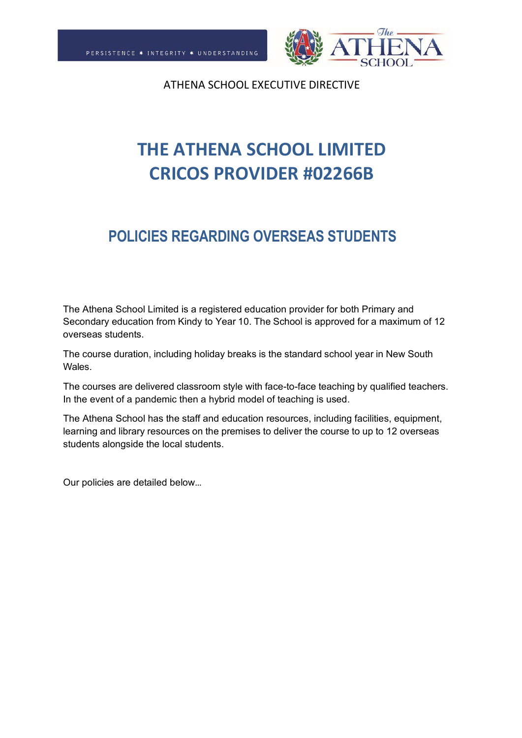

# **THE ATHENA SCHOOL LIMITED CRICOS PROVIDER #02266B**

# **POLICIES REGARDING OVERSEAS STUDENTS**

The Athena School Limited is a registered education provider for both Primary and Secondary education from Kindy to Year 10. The School is approved for a maximum of 12 overseas students.

The course duration, including holiday breaks is the standard school year in New South Wales.

The courses are delivered classroom style with face-to-face teaching by qualified teachers. In the event of a pandemic then a hybrid model of teaching is used.

The Athena School has the staff and education resources, including facilities, equipment, learning and library resources on the premises to deliver the course to up to 12 overseas students alongside the local students.

Our policies are detailed below…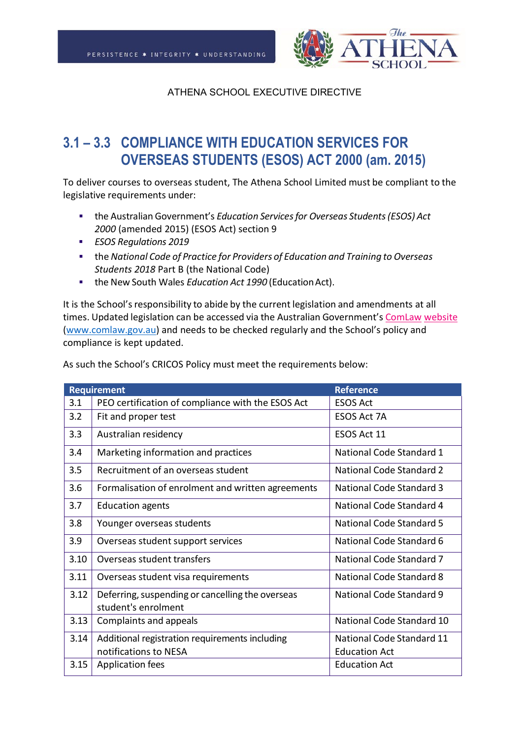

# **3.1 – 3.3 COMPLIANCE WITH EDUCATION SERVICES FOR OVERSEAS STUDENTS (ESOS) ACT 2000 (am. 2015)**

To deliver courses to overseas student, The Athena School Limited must be compliant to the legislative requirements under:

- the Australian Government's *Education Servicesfor Overseas Students(ESOS) Act 2000* (amended 2015) (ESOS Act) section 9
- *ESOS Regulations 2019*
- the *National Code of Practice for Providers of Education and Training to Overseas Students 2018* Part B (the National Code)
- the New South Wales *Education Act 1990* (EducationAct).

It is the School's responsibility to abide by the current legislation and amendments at all times. Updated legislation can be accessed via the Australian Government's [ComLaw](http://www.comlaw.gov.au/) [website](http://www.comlaw.gov.au/) [\(www.comlaw.gov.au\)](http://www.comlaw.gov.au/) and needs to be checked regularly and the School's policy and compliance is kept updated.

| <b>Requirement</b> |                                                   | <b>Reference</b>                |
|--------------------|---------------------------------------------------|---------------------------------|
| 3.1                | PEO certification of compliance with the ESOS Act | <b>ESOS Act</b>                 |
| 3.2                | Fit and proper test                               | <b>ESOS Act 7A</b>              |
| 3.3                | Australian residency                              | ESOS Act 11                     |
| 3.4                | Marketing information and practices               | National Code Standard 1        |
| 3.5                | Recruitment of an overseas student                | National Code Standard 2        |
| 3.6                | Formalisation of enrolment and written agreements | <b>National Code Standard 3</b> |
| 3.7                | <b>Education agents</b>                           | National Code Standard 4        |
| 3.8                | Younger overseas students                         | National Code Standard 5        |
| 3.9                | Overseas student support services                 | National Code Standard 6        |
| 3.10               | Overseas student transfers                        | National Code Standard 7        |
| 3.11               | Overseas student visa requirements                | National Code Standard 8        |
| 3.12               | Deferring, suspending or cancelling the overseas  | <b>National Code Standard 9</b> |
|                    | student's enrolment                               |                                 |
| 3.13               | Complaints and appeals                            | National Code Standard 10       |
| 3.14               | Additional registration requirements including    | National Code Standard 11       |
|                    | notifications to NESA                             | <b>Education Act</b>            |
| 3.15               | Application fees                                  | <b>Education Act</b>            |

As such the School's CRICOS Policy must meet the requirements below: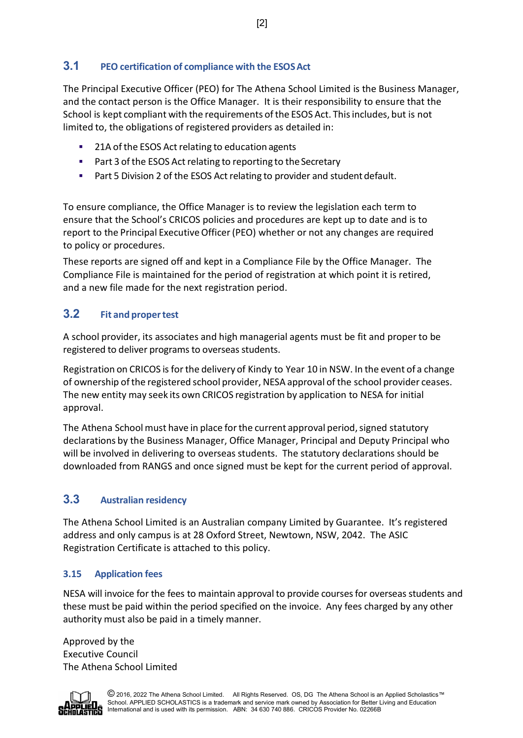# **3.1 PEO certification of compliance with the ESOSAct**

The Principal Executive Officer (PEO) for The Athena School Limited is the Business Manager, and the contact person is the Office Manager. It is their responsibility to ensure that the School is kept compliant with the requirements ofthe ESOS Act. Thisincludes, but is not limited to, the obligations of registered providers as detailed in:

- 21A of the ESOS Act relating to education agents
- Part 3 of the ESOS Act relating to reporting to the Secretary
- **Part 5 Division 2 of the ESOS Act relating to provider and student default.**

To ensure compliance, the Office Manager is to review the legislation each term to ensure that the School's CRICOS policies and procedures are kept up to date and is to report to the Principal ExecutiveOfficer(PEO) whether or not any changes are required to policy or procedures.

These reports are signed off and kept in a Compliance File by the Office Manager. The Compliance File is maintained for the period of registration at which point it is retired, and a new file made for the next registration period.

# **3.2 Fit and propertest**

A school provider, its associates and high managerial agents must be fit and proper to be registered to deliver programs to overseas students.

Registration on CRICOS is for the delivery of Kindy to Year 10 in NSW. In the event of a change of ownership ofthe registered school provider, NESA approval of the school provider ceases. The new entity may seek its own CRICOS registration by application to NESA for initial approval.

The Athena School must have in place for the current approval period, signed statutory declarations by the Business Manager, Office Manager, Principal and Deputy Principal who will be involved in delivering to overseas students. The statutory declarations should be downloaded from RANGS and once signed must be kept for the current period of approval.

# **3.3 Australian residency**

The Athena School Limited is an Australian company Limited by Guarantee. It's registered address and only campus is at 28 Oxford Street, Newtown, NSW, 2042. The ASIC Registration Certificate is attached to this policy.

# **3.15 Application fees**

NESA will invoice for the fees to maintain approval to provide courses for overseas students and these must be paid within the period specified on the invoice. Any fees charged by any other authority must also be paid in a timely manner.

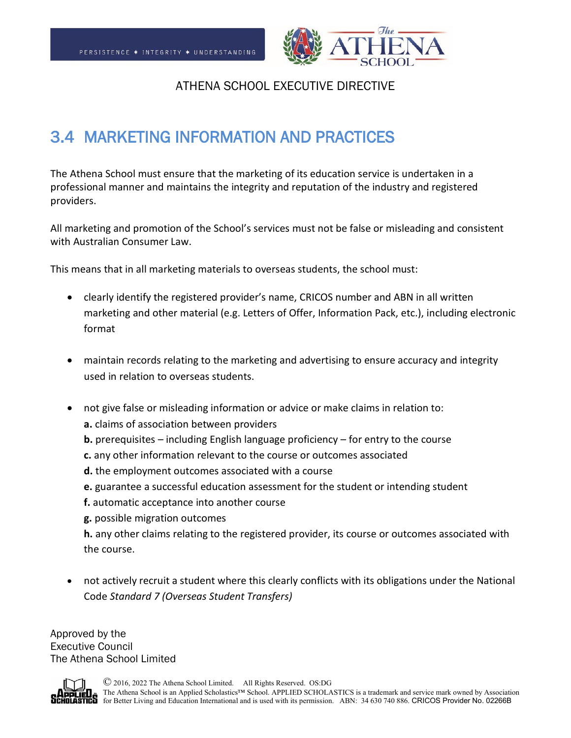

# 3.4 MARKETING INFORMATION AND PRACTICES

The Athena School must ensure that the marketing of its education service is undertaken in a professional manner and maintains the integrity and reputation of the industry and registered providers.

All marketing and promotion of the School's services must not be false or misleading and consistent with Australian Consumer Law.

This means that in all marketing materials to overseas students, the school must:

- clearly identify the registered provider's name, CRICOS number and ABN in all written marketing and other material (e.g. Letters of Offer, Information Pack, etc.), including electronic format
- maintain records relating to the marketing and advertising to ensure accuracy and integrity used in relation to overseas students.
- not give false or misleading information or advice or make claims in relation to:
	- **a.** claims of association between providers
	- **b.** prerequisites including English language proficiency for entry to the course
	- **c.** any other information relevant to the course or outcomes associated
	- **d.** the employment outcomes associated with a course
	- **e.** guarantee a successful education assessment for the student or intending student
	- **f.** automatic acceptance into another course
	- **g.** possible migration outcomes

**h.** any other claims relating to the registered provider, its course or outcomes associated with the course.

• not actively recruit a student where this clearly conflicts with its obligations under the National Code *Standard 7 (Overseas Student Transfers)*

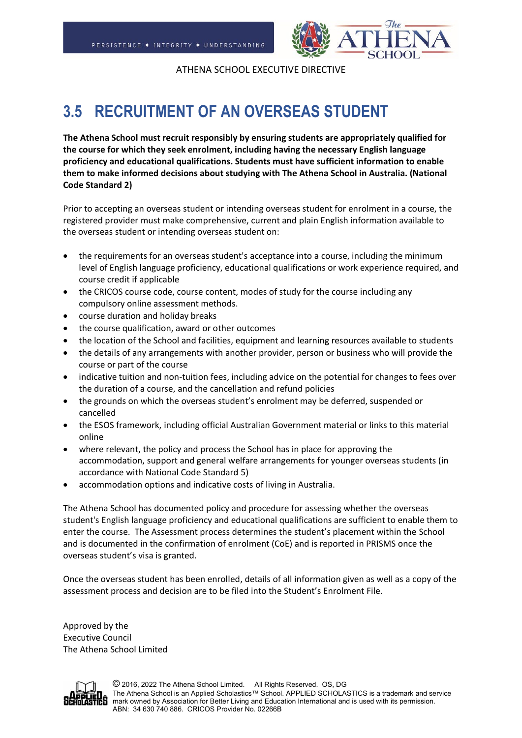

# **3.5 RECRUITMENT OF AN OVERSEAS STUDENT**

**The Athena School must recruit responsibly by ensuring students are appropriately qualified for the course for which they seek enrolment, including having the necessary English language proficiency and educational qualifications. Students must have sufficient information to enable them to make informed decisions about studying with The Athena School in Australia. (National Code Standard 2)**

Prior to accepting an overseas student or intending overseas student for enrolment in a course, the registered provider must make comprehensive, current and plain English information available to the overseas student or intending overseas student on:

- the requirements for an overseas student's acceptance into a course, including the minimum level of English language proficiency, educational qualifications or work experience required, and course credit if applicable
- the CRICOS course code, course content, modes of study for the course including any compulsory online assessment methods.
- course duration and holiday breaks
- the course qualification, award or other outcomes
- the location of the School and facilities, equipment and learning resources available to students
- the details of any arrangements with another provider, person or business who will provide the course or part of the course
- indicative tuition and non-tuition fees, including advice on the potential for changes to fees over the duration of a course, and the cancellation and refund policies
- the grounds on which the overseas student's enrolment may be deferred, suspended or cancelled
- the ESOS framework, including official Australian Government material or links to this material online
- where relevant, the policy and process the School has in place for approving the accommodation, support and general welfare arrangements for younger overseas students (in accordance with National Code Standard 5)
- accommodation options and indicative costs of living in Australia.

The Athena School has documented policy and procedure for assessing whether the overseas student's English language proficiency and educational qualifications are sufficient to enable them to enter the course. The Assessment process determines the student's placement within the School and is documented in the confirmation of enrolment (CoE) and is reported in PRISMS once the overseas student's visa is granted.

Once the overseas student has been enrolled, details of all information given as well as a copy of the assessment process and decision are to be filed into the Student's Enrolment File.

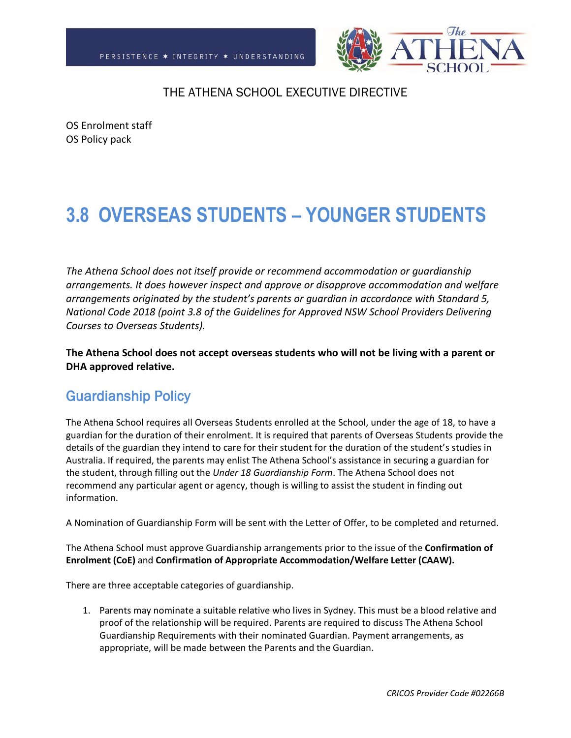

OS Enrolment staff OS Policy pack

# **3.8 OVERSEAS STUDENTS – YOUNGER STUDENTS**

*The Athena School does not itself provide or recommend accommodation or guardianship arrangements. It does however inspect and approve or disapprove accommodation and welfare arrangements originated by the student's parents or guardian in accordance with Standard 5, National Code 2018 (point 3.8 of the Guidelines for Approved NSW School Providers Delivering Courses to Overseas Students).* 

**The Athena School does not accept overseas students who will not be living with a parent or DHA approved relative.**

# Guardianship Policy

The Athena School requires all Overseas Students enrolled at the School, under the age of 18, to have a guardian for the duration of their enrolment. It is required that parents of Overseas Students provide the details of the guardian they intend to care for their student for the duration of the student's studies in Australia. If required, the parents may enlist The Athena School's assistance in securing a guardian for the student, through filling out the *Under 18 Guardianship Form*. The Athena School does not recommend any particular agent or agency, though is willing to assist the student in finding out information.

A Nomination of Guardianship Form will be sent with the Letter of Offer, to be completed and returned.

The Athena School must approve Guardianship arrangements prior to the issue of the **Confirmation of Enrolment (CoE)** and **Confirmation of Appropriate Accommodation/Welfare Letter (CAAW).**

There are three acceptable categories of guardianship.

1. Parents may nominate a suitable relative who lives in Sydney. This must be a blood relative and proof of the relationship will be required. Parents are required to discuss The Athena School Guardianship Requirements with their nominated Guardian. Payment arrangements, as appropriate, will be made between the Parents and the Guardian.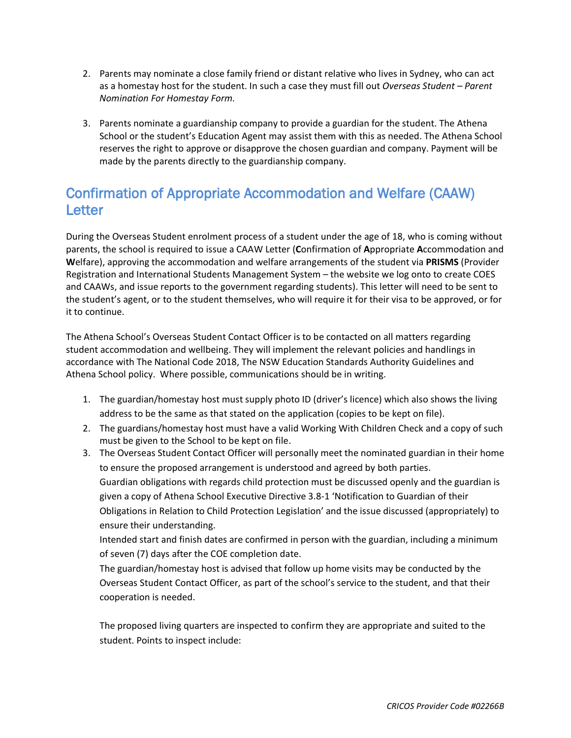- 2. Parents may nominate a close family friend or distant relative who lives in Sydney, who can act as a homestay host for the student. In such a case they must fill out *Overseas Student – Parent Nomination For Homestay Form.*
- 3. Parents nominate a guardianship company to provide a guardian for the student. The Athena School or the student's Education Agent may assist them with this as needed. The Athena School reserves the right to approve or disapprove the chosen guardian and company. Payment will be made by the parents directly to the guardianship company.

# Confirmation of Appropriate Accommodation and Welfare (CAAW) Letter

During the Overseas Student enrolment process of a student under the age of 18, who is coming without parents, the school is required to issue a CAAW Letter (**C**onfirmation of **A**ppropriate **A**ccommodation and **W**elfare), approving the accommodation and welfare arrangements of the student via **PRISMS** (Provider Registration and International Students Management System – the website we log onto to create COES and CAAWs, and issue reports to the government regarding students). This letter will need to be sent to the student's agent, or to the student themselves, who will require it for their visa to be approved, or for it to continue.

The Athena School's Overseas Student Contact Officer is to be contacted on all matters regarding student accommodation and wellbeing. They will implement the relevant policies and handlings in accordance with The National Code 2018, The NSW Education Standards Authority Guidelines and Athena School policy. Where possible, communications should be in writing.

- 1. The guardian/homestay host must supply photo ID (driver's licence) which also shows the living address to be the same as that stated on the application (copies to be kept on file).
- 2. The guardians/homestay host must have a valid Working With Children Check and a copy of such must be given to the School to be kept on file.
- 3. The Overseas Student Contact Officer will personally meet the nominated guardian in their home to ensure the proposed arrangement is understood and agreed by both parties. Guardian obligations with regards child protection must be discussed openly and the guardian is given a copy of Athena School Executive Directive 3.8-1 'Notification to Guardian of their Obligations in Relation to Child Protection Legislation' and the issue discussed (appropriately) to ensure their understanding.

Intended start and finish dates are confirmed in person with the guardian, including a minimum of seven (7) days after the COE completion date.

The guardian/homestay host is advised that follow up home visits may be conducted by the Overseas Student Contact Officer, as part of the school's service to the student, and that their cooperation is needed.

The proposed living quarters are inspected to confirm they are appropriate and suited to the student. Points to inspect include: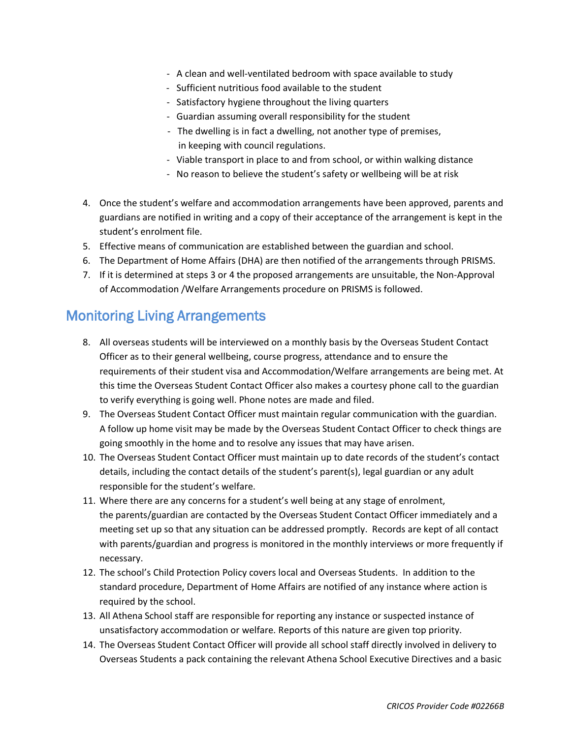- A clean and well-ventilated bedroom with space available to study
- Sufficient nutritious food available to the student
- Satisfactory hygiene throughout the living quarters
- Guardian assuming overall responsibility for the student
- The dwelling is in fact a dwelling, not another type of premises, in keeping with council regulations.
- Viable transport in place to and from school, or within walking distance
- No reason to believe the student's safety or wellbeing will be at risk
- 4. Once the student's welfare and accommodation arrangements have been approved, parents and guardians are notified in writing and a copy of their acceptance of the arrangement is kept in the student's enrolment file.
- 5. Effective means of communication are established between the guardian and school.
- 6. The Department of Home Affairs (DHA) are then notified of the arrangements through PRISMS.
- 7. If it is determined at steps 3 or 4 the proposed arrangements are unsuitable, the Non-Approval of Accommodation /Welfare Arrangements procedure on PRISMS is followed.

# Monitoring Living Arrangements

- 8. All overseas students will be interviewed on a monthly basis by the Overseas Student Contact Officer as to their general wellbeing, course progress, attendance and to ensure the requirements of their student visa and Accommodation/Welfare arrangements are being met. At this time the Overseas Student Contact Officer also makes a courtesy phone call to the guardian to verify everything is going well. Phone notes are made and filed.
- 9. The Overseas Student Contact Officer must maintain regular communication with the guardian. A follow up home visit may be made by the Overseas Student Contact Officer to check things are going smoothly in the home and to resolve any issues that may have arisen.
- 10. The Overseas Student Contact Officer must maintain up to date records of the student's contact details, including the contact details of the student's parent(s), legal guardian or any adult responsible for the student's welfare.
- 11. Where there are any concerns for a student's well being at any stage of enrolment, the parents/guardian are contacted by the Overseas Student Contact Officer immediately and a meeting set up so that any situation can be addressed promptly. Records are kept of all contact with parents/guardian and progress is monitored in the monthly interviews or more frequently if necessary.
- 12. The school's Child Protection Policy covers local and Overseas Students. In addition to the standard procedure, Department of Home Affairs are notified of any instance where action is required by the school.
- 13. All Athena School staff are responsible for reporting any instance or suspected instance of unsatisfactory accommodation or welfare. Reports of this nature are given top priority.
- 14. The Overseas Student Contact Officer will provide all school staff directly involved in delivery to Overseas Students a pack containing the relevant Athena School Executive Directives and a basic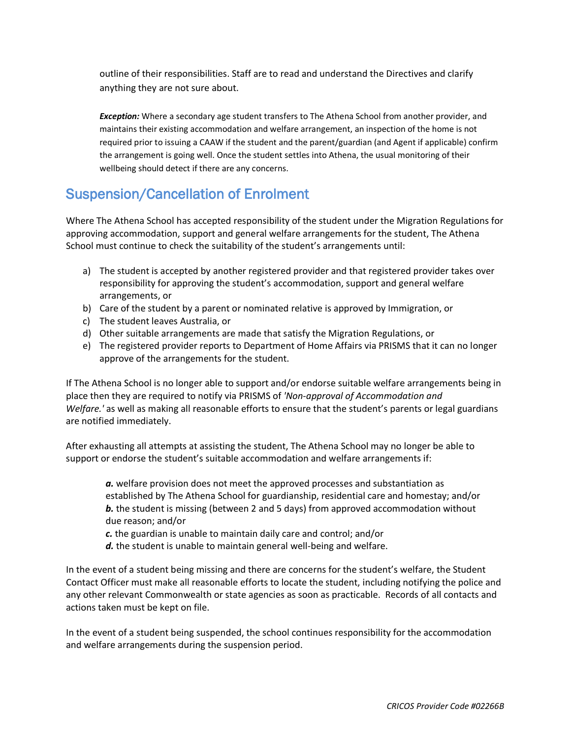outline of their responsibilities. Staff are to read and understand the Directives and clarify anything they are not sure about.

*Exception:* Where a secondary age student transfers to The Athena School from another provider, and maintains their existing accommodation and welfare arrangement, an inspection of the home is not required prior to issuing a CAAW if the student and the parent/guardian (and Agent if applicable) confirm the arrangement is going well. Once the student settles into Athena, the usual monitoring of their wellbeing should detect if there are any concerns.

# Suspension/Cancellation of Enrolment

Where The Athena School has accepted responsibility of the student under the Migration Regulations for approving accommodation, support and general welfare arrangements for the student, The Athena School must continue to check the suitability of the student's arrangements until:

- a) The student is accepted by another registered provider and that registered provider takes over responsibility for approving the student's accommodation, support and general welfare arrangements, or
- b) Care of the student by a parent or nominated relative is approved by Immigration, or
- c) The student leaves Australia, or
- d) Other suitable arrangements are made that satisfy the Migration Regulations, or
- e) The registered provider reports to Department of Home Affairs via PRISMS that it can no longer approve of the arrangements for the student.

If The Athena School is no longer able to support and/or endorse suitable welfare arrangements being in place then they are required to notify via PRISMS of *'Non-approval of Accommodation and Welfare.'* as well as making all reasonable efforts to ensure that the student's parents or legal guardians are notified immediately.

After exhausting all attempts at assisting the student, The Athena School may no longer be able to support or endorse the student's suitable accommodation and welfare arrangements if:

*a.* welfare provision does not meet the approved processes and substantiation as established by The Athena School for guardianship, residential care and homestay; and/or **b.** the student is missing (between 2 and 5 days) from approved accommodation without due reason; and/or

*c.* the guardian is unable to maintain daily care and control; and/or

*d.* the student is unable to maintain general well-being and welfare.

In the event of a student being missing and there are concerns for the student's welfare, the Student Contact Officer must make all reasonable efforts to locate the student, including notifying the police and any other relevant Commonwealth or state agencies as soon as practicable. Records of all contacts and actions taken must be kept on file.

In the event of a student being suspended, the school continues responsibility for the accommodation and welfare arrangements during the suspension period.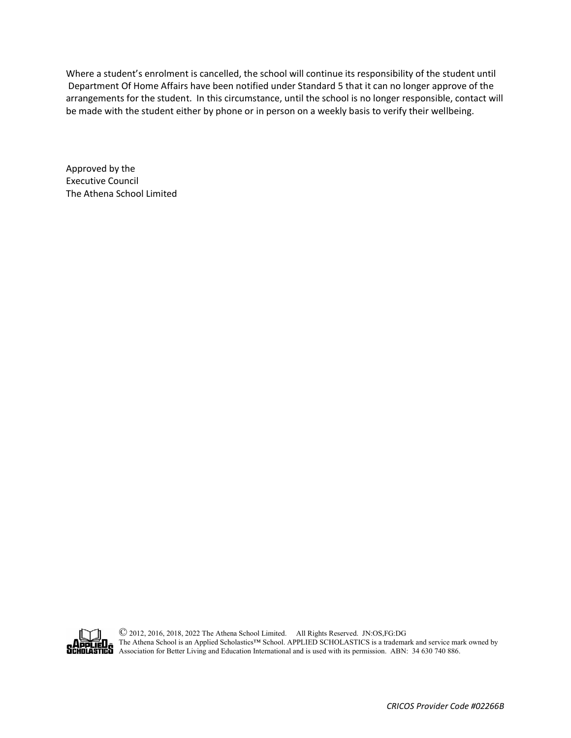Where a student's enrolment is cancelled, the school will continue its responsibility of the student until Department Of Home Affairs have been notified under Standard 5 that it can no longer approve of the arrangements for the student. In this circumstance, until the school is no longer responsible, contact will be made with the student either by phone or in person on a weekly basis to verify their wellbeing.

Approved by the Executive Council The Athena School Limited



© 2012, 2016, 2018, 2022 The Athena School Limited. All Rights Reserved. JN:OS,FG:DG The Athena School is an Applied Scholastics™ School. APPLIED SCHOLASTICS is a trademark and service mark owned by **EU** A lhe Athena School is an Applieu Scholaster School. At take served with  $\frac{1}{2}$  and  $\frac{1}{2}$  Association for Better Living and Education International and is used with its permission. ABN: 34 630 740 886.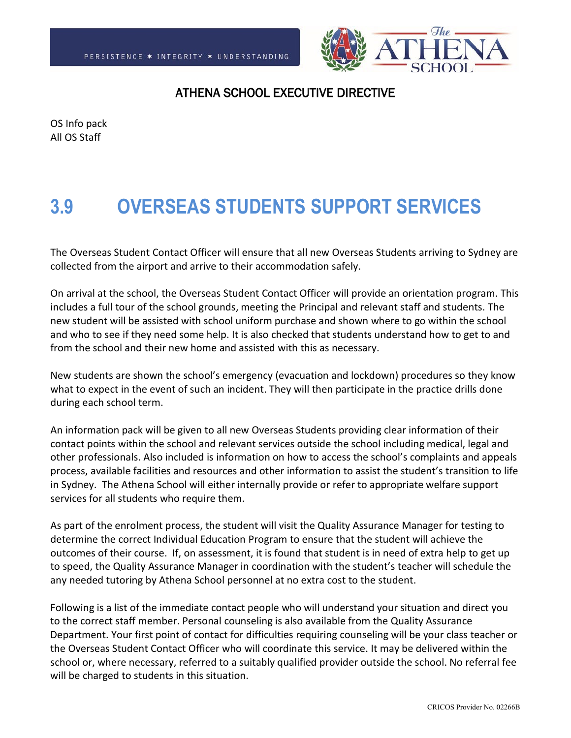

OS Info pack All OS Staff

# **3.9 OVERSEAS STUDENTS SUPPORT SERVICES**

The Overseas Student Contact Officer will ensure that all new Overseas Students arriving to Sydney are collected from the airport and arrive to their accommodation safely.

On arrival at the school, the Overseas Student Contact Officer will provide an orientation program. This includes a full tour of the school grounds, meeting the Principal and relevant staff and students. The new student will be assisted with school uniform purchase and shown where to go within the school and who to see if they need some help. It is also checked that students understand how to get to and from the school and their new home and assisted with this as necessary.

New students are shown the school's emergency (evacuation and lockdown) procedures so they know what to expect in the event of such an incident. They will then participate in the practice drills done during each school term.

An information pack will be given to all new Overseas Students providing clear information of their contact points within the school and relevant services outside the school including medical, legal and other professionals. Also included is information on how to access the school's complaints and appeals process, available facilities and resources and other information to assist the student's transition to life in Sydney. The Athena School will either internally provide or refer to appropriate welfare support services for all students who require them.

As part of the enrolment process, the student will visit the Quality Assurance Manager for testing to determine the correct Individual Education Program to ensure that the student will achieve the outcomes of their course. If, on assessment, it is found that student is in need of extra help to get up to speed, the Quality Assurance Manager in coordination with the student's teacher will schedule the any needed tutoring by Athena School personnel at no extra cost to the student.

Following is a list of the immediate contact people who will understand your situation and direct you to the correct staff member. Personal counseling is also available from the Quality Assurance Department. Your first point of contact for difficulties requiring counseling will be your class teacher or the Overseas Student Contact Officer who will coordinate this service. It may be delivered within the school or, where necessary, referred to a suitably qualified provider outside the school. No referral fee will be charged to students in this situation.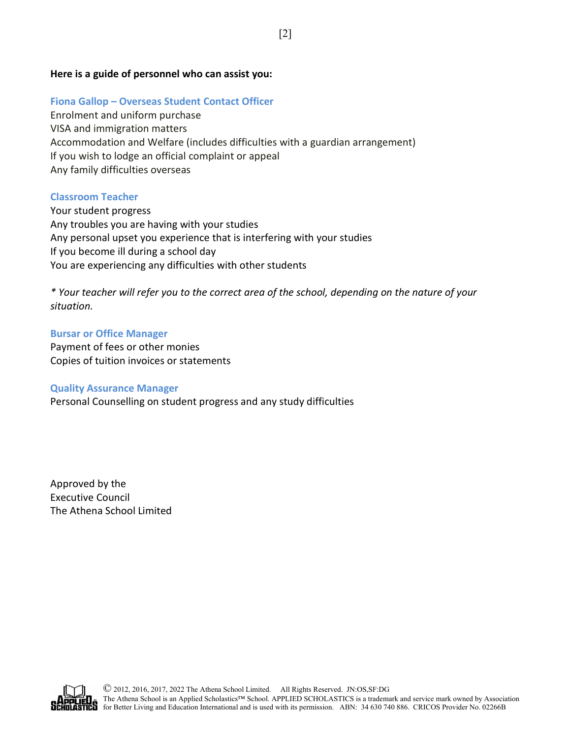### **Here is a guide of personnel who can assist you:**

# **Fiona Gallop – Overseas Student Contact Officer**

Enrolment and uniform purchase VISA and immigration matters Accommodation and Welfare (includes difficulties with a guardian arrangement) If you wish to lodge an official complaint or appeal Any family difficulties overseas

# **Classroom Teacher**

Your student progress Any troubles you are having with your studies Any personal upset you experience that is interfering with your studies If you become ill during a school day You are experiencing any difficulties with other students

*\* Your teacher will refer you to the correct area of the school, depending on the nature of your situation.* 

## **Bursar or Office Manager** Payment of fees or other monies Copies of tuition invoices or statements

# **Quality Assurance Manager**

Personal Counselling on student progress and any study difficulties

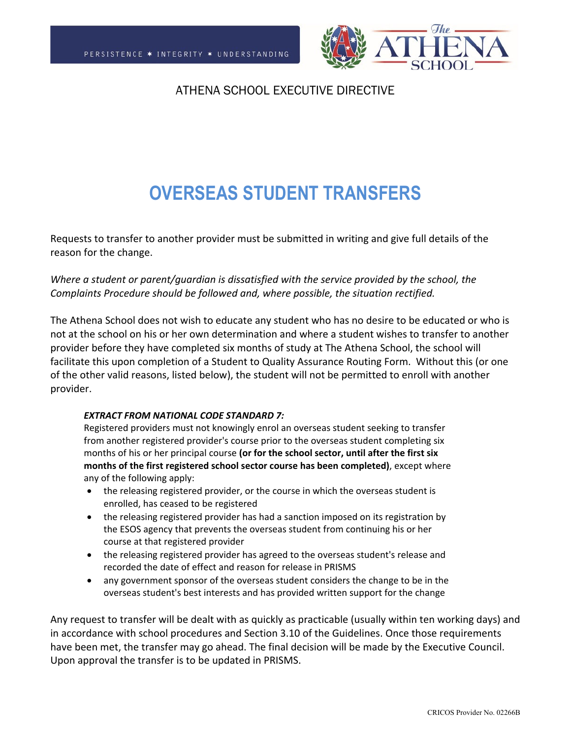

# **OVERSEAS STUDENT TRANSFERS**

Requests to transfer to another provider must be submitted in writing and give full details of the reason for the change.

*Where a student or parent/guardian is dissatisfied with the service provided by the school, the Complaints Procedure should be followed and, where possible, the situation rectified.*

The Athena School does not wish to educate any student who has no desire to be educated or who is not at the school on his or her own determination and where a student wishes to transfer to another provider before they have completed six months of study at The Athena School, the school will facilitate this upon completion of a Student to Quality Assurance Routing Form. Without this (or one of the other valid reasons, listed below), the student will not be permitted to enroll with another provider.

#### *EXTRACT FROM NATIONAL CODE STANDARD 7:*

Registered providers must not knowingly enrol an overseas student seeking to transfer from another registered provider's course prior to the overseas student completing six months of his or her principal course **(or for the school sector, until after the first six months of the first registered school sector course has been completed)**, except where any of the following apply:

- the releasing registered provider, or the course in which the overseas student is enrolled, has ceased to be registered
- the releasing registered provider has had a sanction imposed on its registration by the ESOS agency that prevents the overseas student from continuing his or her course at that registered provider
- the releasing registered provider has agreed to the overseas student's release and recorded the date of effect and reason for release in PRISMS
- any government sponsor of the overseas student considers the change to be in the overseas student's best interests and has provided written support for the change

Any request to transfer will be dealt with as quickly as practicable (usually within ten working days) and in accordance with school procedures and Section 3.10 of the Guidelines. Once those requirements have been met, the transfer may go ahead. The final decision will be made by the Executive Council. Upon approval the transfer is to be updated in PRISMS.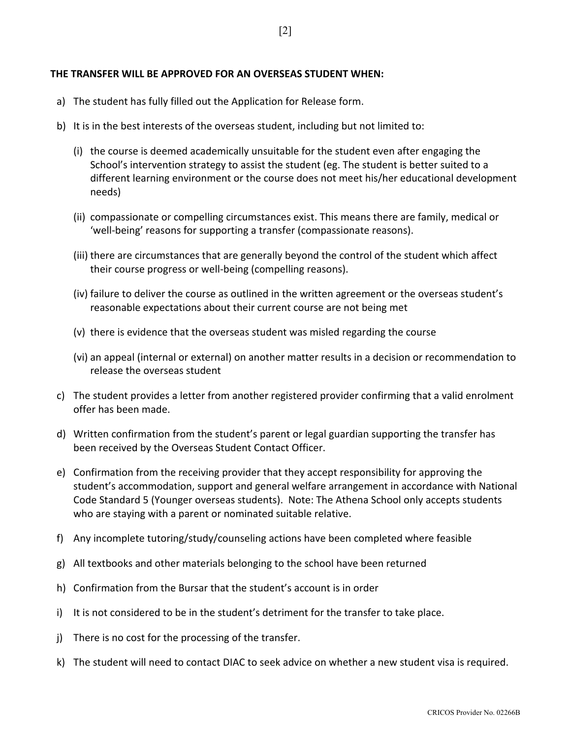#### **THE TRANSFER WILL BE APPROVED FOR AN OVERSEAS STUDENT WHEN:**

- a) The student has fully filled out the Application for Release form.
- b) It is in the best interests of the overseas student, including but not limited to:
	- (i) the course is deemed academically unsuitable for the student even after engaging the School's intervention strategy to assist the student (eg. The student is better suited to a different learning environment or the course does not meet his/her educational development needs)
	- (ii) compassionate or compelling circumstances exist. This means there are family, medical or 'well‐being' reasons for supporting a transfer (compassionate reasons).
	- (iii) there are circumstances that are generally beyond the control of the student which affect their course progress or well‐being (compelling reasons).
	- (iv) failure to deliver the course as outlined in the written agreement or the overseas student's reasonable expectations about their current course are not being met
	- (v) there is evidence that the overseas student was misled regarding the course
	- (vi) an appeal (internal or external) on another matter results in a decision or recommendation to release the overseas student
- c) The student provides a letter from another registered provider confirming that a valid enrolment offer has been made.
- d) Written confirmation from the student's parent or legal guardian supporting the transfer has been received by the Overseas Student Contact Officer.
- e) Confirmation from the receiving provider that they accept responsibility for approving the student's accommodation, support and general welfare arrangement in accordance with National Code Standard 5 (Younger overseas students). Note: The Athena School only accepts students who are staying with a parent or nominated suitable relative.
- f) Any incomplete tutoring/study/counseling actions have been completed where feasible
- g) All textbooks and other materials belonging to the school have been returned
- h) Confirmation from the Bursar that the student's account is in order
- i) It is not considered to be in the student's detriment for the transfer to take place.
- j) There is no cost for the processing of the transfer.
- k) The student will need to contact DIAC to seek advice on whether a new student visa is required.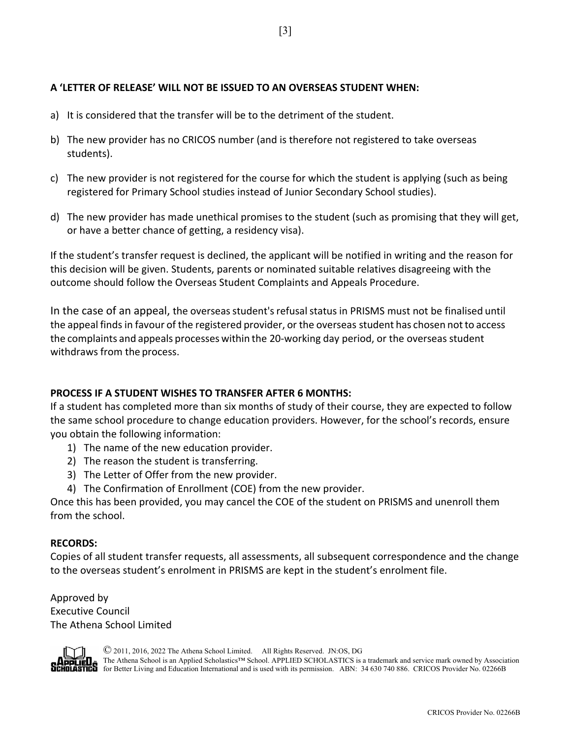## **A 'LETTER OF RELEASE' WILL NOT BE ISSUED TO AN OVERSEAS STUDENT WHEN:**

- a) It is considered that the transfer will be to the detriment of the student.
- b) The new provider has no CRICOS number (and is therefore not registered to take overseas students).
- c) The new provider is not registered for the course for which the student is applying (such as being registered for Primary School studies instead of Junior Secondary School studies).
- d) The new provider has made unethical promises to the student (such as promising that they will get, or have a better chance of getting, a residency visa).

If the student's transfer request is declined, the applicant will be notified in writing and the reason for this decision will be given. Students, parents or nominated suitable relatives disagreeing with the outcome should follow the Overseas Student Complaints and Appeals Procedure.

In the case of an appeal, the overseas student's refusal status in PRISMS must not be finalised until the appeal finds in favour of the registered provider, or the overseas student has chosen notto access the complaints and appeals processes within the 20-working day period, or the overseas student withdraws from the process.

# **PROCESS IF A STUDENT WISHES TO TRANSFER AFTER 6 MONTHS:**

If a student has completed more than six months of study of their course, they are expected to follow the same school procedure to change education providers. However, for the school's records, ensure you obtain the following information:

- 1) The name of the new education provider.
- 2) The reason the student is transferring.
- 3) The Letter of Offer from the new provider.
- 4) The Confirmation of Enrollment (COE) from the new provider.

Once this has been provided, you may cancel the COE of the student on PRISMS and unenroll them from the school.

### **RECORDS:**

Copies of all student transfer requests, all assessments, all subsequent correspondence and the change to the overseas student's enrolment in PRISMS are kept in the student's enrolment file.

Approved by Executive Council The Athena School Limited



© 2011, 2016, 2022 The Athena School Limited. All Rights Reserved. JN:OS, DG

The Athena School is an Applied Scholastics™ School. APPLIED SCHOLASTICS is a trademark and service mark owned by Association **ASTICO** for Better Living and Education International and is used with its permission. ABN: 34 630 740 886. CRICOS Provider No. 02266B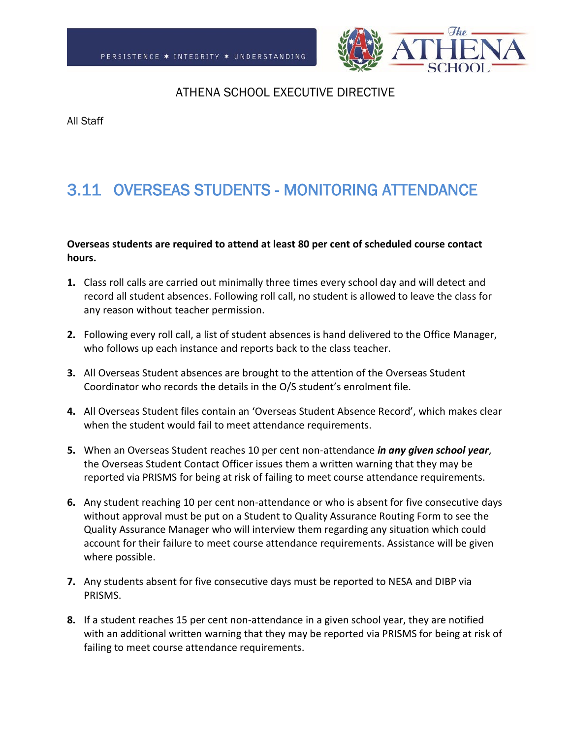

All Staff

# 3.11 OVERSEAS STUDENTS - MONITORING ATTENDANCE

### **Overseas students are required to attend at least 80 per cent of scheduled course contact hours.**

- **1.** Class roll calls are carried out minimally three times every school day and will detect and record all student absences. Following roll call, no student is allowed to leave the class for any reason without teacher permission.
- **2.** Following every roll call, a list of student absences is hand delivered to the Office Manager, who follows up each instance and reports back to the class teacher.
- **3.** All Overseas Student absences are brought to the attention of the Overseas Student Coordinator who records the details in the O/S student's enrolment file.
- **4.** All Overseas Student files contain an 'Overseas Student Absence Record', which makes clear when the student would fail to meet attendance requirements.
- **5.** When an Overseas Student reaches 10 per cent non-attendance *in any given school year*, the Overseas Student Contact Officer issues them a written warning that they may be reported via PRISMS for being at risk of failing to meet course attendance requirements.
- **6.** Any student reaching 10 per cent non-attendance or who is absent for five consecutive days without approval must be put on a Student to Quality Assurance Routing Form to see the Quality Assurance Manager who will interview them regarding any situation which could account for their failure to meet course attendance requirements. Assistance will be given where possible.
- **7.** Any students absent for five consecutive days must be reported to NESA and DIBP via PRISMS.
- **8.** If a student reaches 15 per cent non-attendance in a given school year, they are notified with an additional written warning that they may be reported via PRISMS for being at risk of failing to meet course attendance requirements.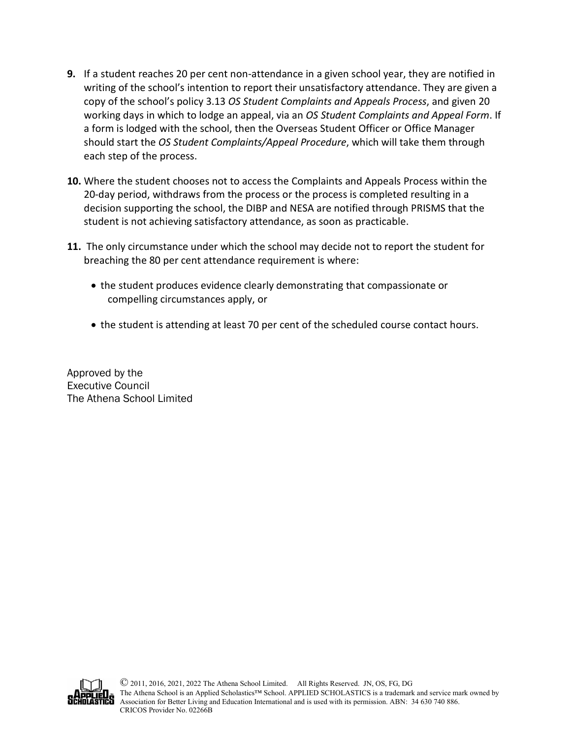- **9.** If a student reaches 20 per cent non-attendance in a given school year, they are notified in writing of the school's intention to report their unsatisfactory attendance. They are given a copy of the school's policy 3.13 *OS Student Complaints and Appeals Process*, and given 20 working days in which to lodge an appeal, via an *OS Student Complaints and Appeal Form*. If a form is lodged with the school, then the Overseas Student Officer or Office Manager should start the *OS Student Complaints/Appeal Procedure*, which will take them through each step of the process.
- **10.** Where the student chooses not to access the Complaints and Appeals Process within the 20-day period, withdraws from the process or the process is completed resulting in a decision supporting the school, the DIBP and NESA are notified through PRISMS that the student is not achieving satisfactory attendance, as soon as practicable.
- **11.** The only circumstance under which the school may decide not to report the student for breaching the 80 per cent attendance requirement is where:
	- the student produces evidence clearly demonstrating that compassionate or compelling circumstances apply, or
	- the student is attending at least 70 per cent of the scheduled course contact hours.

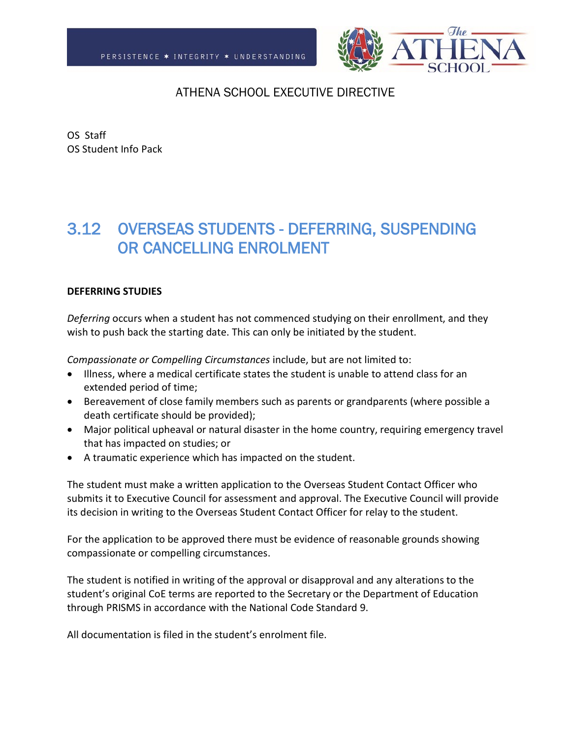

OS Staff OS Student Info Pack

# 3.12 OVERSEAS STUDENTS - DEFERRING, SUSPENDING OR CANCELLING ENROLMENT

### **DEFERRING STUDIES**

*Deferring* occurs when a student has not commenced studying on their enrollment, and they wish to push back the starting date. This can only be initiated by the student.

*Compassionate or Compelling Circumstances* include, but are not limited to:

- Illness, where a medical certificate states the student is unable to attend class for an extended period of time;
- Bereavement of close family members such as parents or grandparents (where possible a death certificate should be provided);
- Major political upheaval or natural disaster in the home country, requiring emergency travel that has impacted on studies; or
- A traumatic experience which has impacted on the student.

The student must make a written application to the Overseas Student Contact Officer who submits it to Executive Council for assessment and approval. The Executive Council will provide its decision in writing to the Overseas Student Contact Officer for relay to the student.

For the application to be approved there must be evidence of reasonable grounds showing compassionate or compelling circumstances.

The student is notified in writing of the approval or disapproval and any alterations to the student's original CoE terms are reported to the Secretary or the Department of Education through PRISMS in accordance with the National Code Standard 9.

All documentation is filed in the student's enrolment file.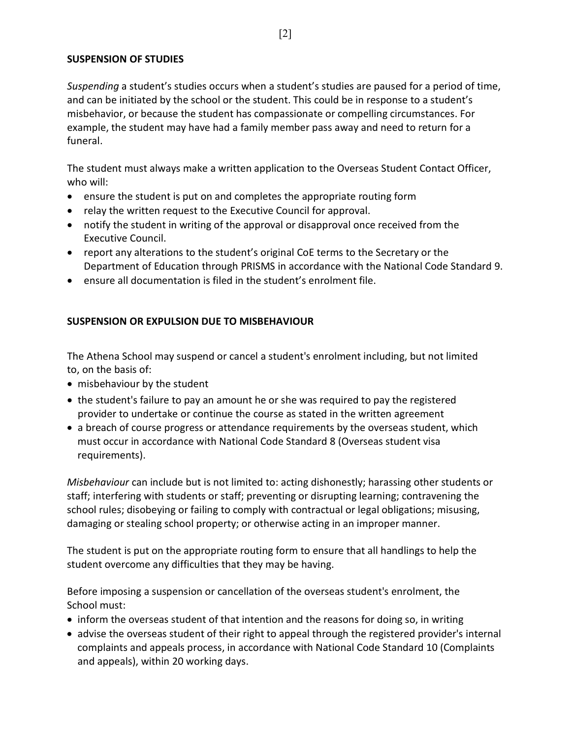### **SUSPENSION OF STUDIES**

*Suspending* a student's studies occurs when a student's studies are paused for a period of time, and can be initiated by the school or the student. This could be in response to a student's misbehavior, or because the student has compassionate or compelling circumstances. For example, the student may have had a family member pass away and need to return for a funeral.

The student must always make a written application to the Overseas Student Contact Officer, who will:

- ensure the student is put on and completes the appropriate routing form
- relay the written request to the Executive Council for approval.
- notify the student in writing of the approval or disapproval once received from the Executive Council.
- report any alterations to the student's original CoE terms to the Secretary or the Department of Education through PRISMS in accordance with the National Code Standard 9.
- ensure all documentation is filed in the student's enrolment file.

# **SUSPENSION OR EXPULSION DUE TO MISBEHAVIOUR**

The Athena School may suspend or cancel a student's enrolment including, but not limited to, on the basis of:

- misbehaviour by the student
- the student's failure to pay an amount he or she was required to pay the registered provider to undertake or continue the course as stated in the written agreement
- a breach of course progress or attendance requirements by the overseas student, which must occur in accordance with National Code Standard 8 (Overseas student visa requirements).

*Misbehaviour* can include but is not limited to: acting dishonestly; harassing other students or staff; interfering with students or staff; preventing or disrupting learning; contravening the school rules; disobeying or failing to comply with contractual or legal obligations; misusing, damaging or stealing school property; or otherwise acting in an improper manner.

The student is put on the appropriate routing form to ensure that all handlings to help the student overcome any difficulties that they may be having.

Before imposing a suspension or cancellation of the overseas student's enrolment, the School must:

- inform the overseas student of that intention and the reasons for doing so, in writing
- advise the overseas student of their right to appeal through the registered provider's internal complaints and appeals process, in accordance with National Code Standard 10 (Complaints and appeals), within 20 working days.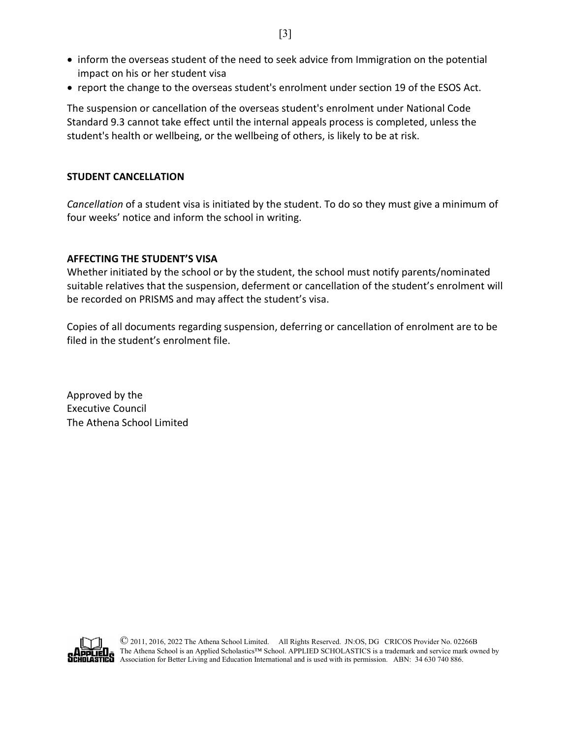- inform the overseas student of the need to seek advice from Immigration on the potential impact on his or her student visa
- report the change to the overseas student's enrolment under section 19 of the ESOS Act.

The suspension or cancellation of the overseas student's enrolment under National Code Standard 9.3 cannot take effect until the internal appeals process is completed, unless the student's health or wellbeing, or the wellbeing of others, is likely to be at risk.

### **STUDENT CANCELLATION**

*Cancellation* of a student visa is initiated by the student. To do so they must give a minimum of four weeks' notice and inform the school in writing.

## **AFFECTING THE STUDENT'S VISA**

Whether initiated by the school or by the student, the school must notify parents/nominated suitable relatives that the suspension, deferment or cancellation of the student's enrolment will be recorded on PRISMS and may affect the student's visa.

Copies of all documents regarding suspension, deferring or cancellation of enrolment are to be filed in the student's enrolment file.

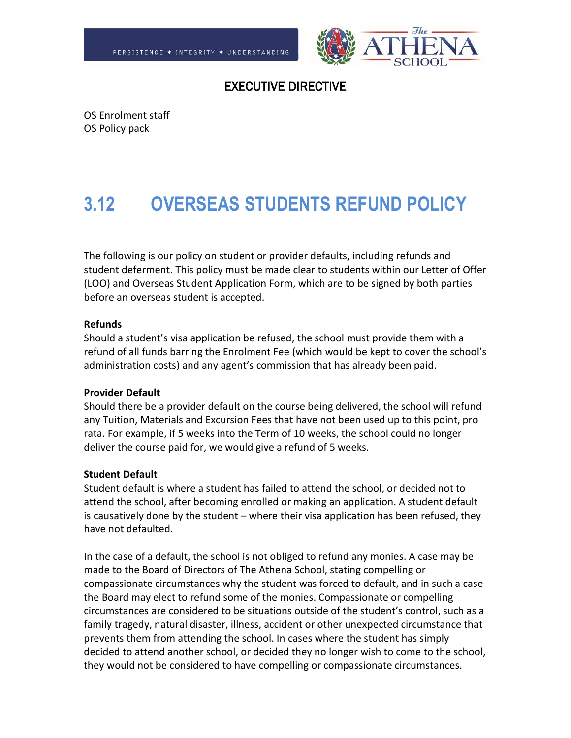

# EXECUTIVE DIRECTIVE

OS Enrolment staff OS Policy pack

# **3.12 OVERSEAS STUDENTS REFUND POLICY**

The following is our policy on student or provider defaults, including refunds and student deferment. This policy must be made clear to students within our Letter of Offer (LOO) and Overseas Student Application Form, which are to be signed by both parties before an overseas student is accepted.

### **Refunds**

Should a student's visa application be refused, the school must provide them with a refund of all funds barring the Enrolment Fee (which would be kept to cover the school's administration costs) and any agent's commission that has already been paid.

### **Provider Default**

Should there be a provider default on the course being delivered, the school will refund any Tuition, Materials and Excursion Fees that have not been used up to this point, pro rata. For example, if 5 weeks into the Term of 10 weeks, the school could no longer deliver the course paid for, we would give a refund of 5 weeks.

### **Student Default**

Student default is where a student has failed to attend the school, or decided not to attend the school, after becoming enrolled or making an application. A student default is causatively done by the student – where their visa application has been refused, they have not defaulted.

In the case of a default, the school is not obliged to refund any monies. A case may be made to the Board of Directors of The Athena School, stating compelling or compassionate circumstances why the student was forced to default, and in such a case the Board may elect to refund some of the monies. Compassionate or compelling circumstances are considered to be situations outside of the student's control, such as a family tragedy, natural disaster, illness, accident or other unexpected circumstance that prevents them from attending the school. In cases where the student has simply decided to attend another school, or decided they no longer wish to come to the school, they would not be considered to have compelling or compassionate circumstances.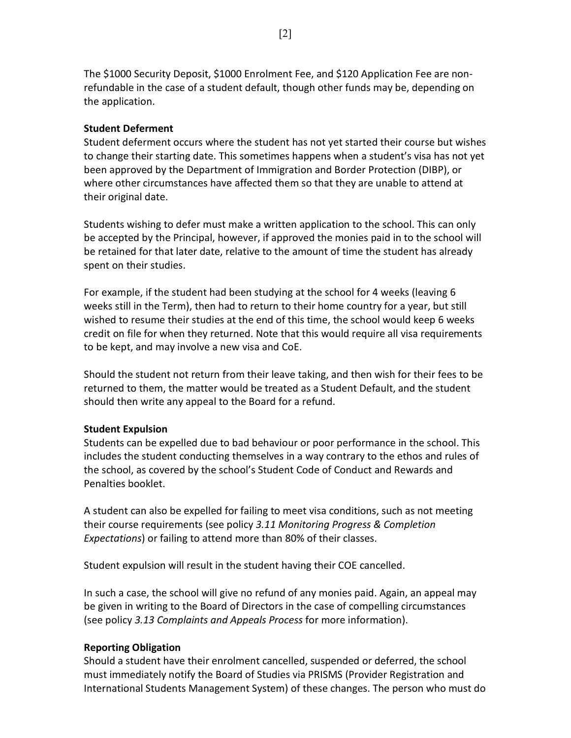The \$1000 Security Deposit, \$1000 Enrolment Fee, and \$120 Application Fee are nonrefundable in the case of a student default, though other funds may be, depending on the application.

## **Student Deferment**

Student deferment occurs where the student has not yet started their course but wishes to change their starting date. This sometimes happens when a student's visa has not yet been approved by the Department of Immigration and Border Protection (DIBP), or where other circumstances have affected them so that they are unable to attend at their original date.

Students wishing to defer must make a written application to the school. This can only be accepted by the Principal, however, if approved the monies paid in to the school will be retained for that later date, relative to the amount of time the student has already spent on their studies.

For example, if the student had been studying at the school for 4 weeks (leaving 6 weeks still in the Term), then had to return to their home country for a year, but still wished to resume their studies at the end of this time, the school would keep 6 weeks credit on file for when they returned. Note that this would require all visa requirements to be kept, and may involve a new visa and CoE.

Should the student not return from their leave taking, and then wish for their fees to be returned to them, the matter would be treated as a Student Default, and the student should then write any appeal to the Board for a refund.

### **Student Expulsion**

Students can be expelled due to bad behaviour or poor performance in the school. This includes the student conducting themselves in a way contrary to the ethos and rules of the school, as covered by the school's Student Code of Conduct and Rewards and Penalties booklet.

A student can also be expelled for failing to meet visa conditions, such as not meeting their course requirements (see policy *3.11 Monitoring Progress & Completion Expectations*) or failing to attend more than 80% of their classes.

Student expulsion will result in the student having their COE cancelled.

In such a case, the school will give no refund of any monies paid. Again, an appeal may be given in writing to the Board of Directors in the case of compelling circumstances (see policy *3.13 Complaints and Appeals Process* for more information).

### **Reporting Obligation**

Should a student have their enrolment cancelled, suspended or deferred, the school must immediately notify the Board of Studies via PRISMS (Provider Registration and International Students Management System) of these changes. The person who must do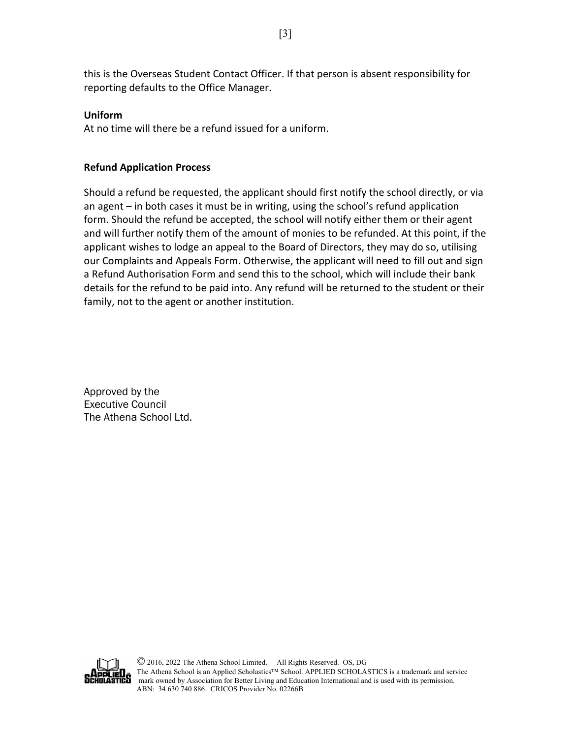this is the Overseas Student Contact Officer. If that person is absent responsibility for reporting defaults to the Office Manager.

## **Uniform**

At no time will there be a refund issued for a uniform.

# **Refund Application Process**

Should a refund be requested, the applicant should first notify the school directly, or via an agent – in both cases it must be in writing, using the school's refund application form. Should the refund be accepted, the school will notify either them or their agent and will further notify them of the amount of monies to be refunded. At this point, if the applicant wishes to lodge an appeal to the Board of Directors, they may do so, utilising our Complaints and Appeals Form. Otherwise, the applicant will need to fill out and sign a Refund Authorisation Form and send this to the school, which will include their bank details for the refund to be paid into. Any refund will be returned to the student or their family, not to the agent or another institution.

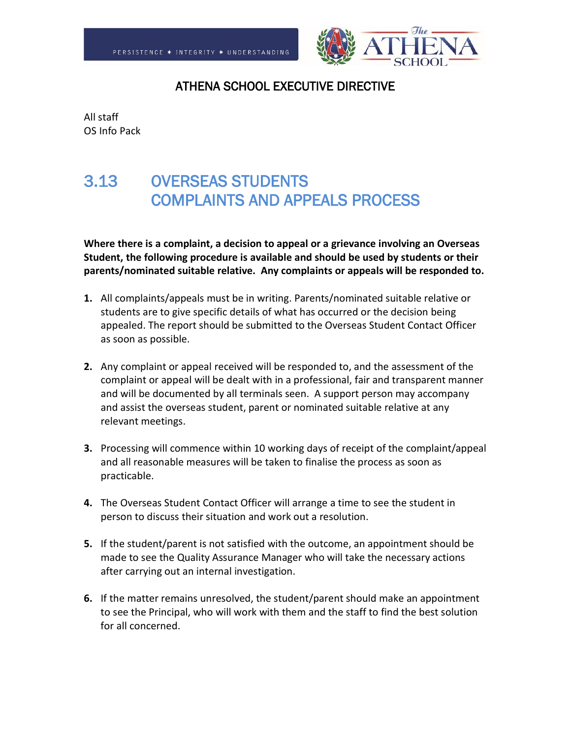

All staff OS Info Pack

# 3.13 OVERSEAS STUDENTS COMPLAINTS AND APPEALS PROCESS

**Where there is a complaint, a decision to appeal or a grievance involving an Overseas Student, the following procedure is available and should be used by students or their parents/nominated suitable relative. Any complaints or appeals will be responded to.**

- **1.** All complaints/appeals must be in writing. Parents/nominated suitable relative or students are to give specific details of what has occurred or the decision being appealed. The report should be submitted to the Overseas Student Contact Officer as soon as possible.
- **2.** Any complaint or appeal received will be responded to, and the assessment of the complaint or appeal will be dealt with in a professional, fair and transparent manner and will be documented by all terminals seen. A support person may accompany and assist the overseas student, parent or nominated suitable relative at any relevant meetings.
- **3.** Processing will commence within 10 working days of receipt of the complaint/appeal and all reasonable measures will be taken to finalise the process as soon as practicable.
- **4.** The Overseas Student Contact Officer will arrange a time to see the student in person to discuss their situation and work out a resolution.
- **5.** If the student/parent is not satisfied with the outcome, an appointment should be made to see the Quality Assurance Manager who will take the necessary actions after carrying out an internal investigation.
- **6.** If the matter remains unresolved, the student/parent should make an appointment to see the Principal, who will work with them and the staff to find the best solution for all concerned.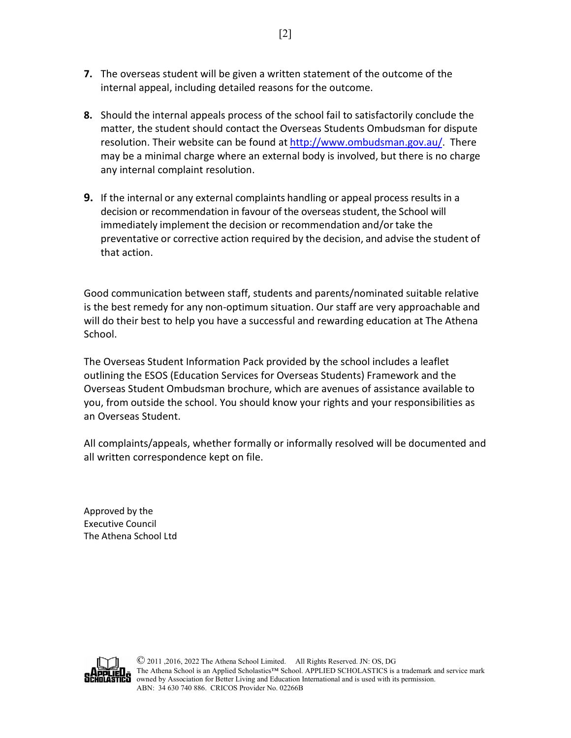- **7.** The overseas student will be given a written statement of the outcome of the internal appeal, including detailed reasons for the outcome.
- **8.** Should the internal appeals process of the school fail to satisfactorily conclude the matter, the student should contact the Overseas Students Ombudsman for dispute resolution. Their website can be found at [http://www.ombudsman.gov.au/.](http://www.ombudsman.gov.au/) There may be a minimal charge where an external body is involved, but there is no charge any internal complaint resolution.
- **9.** If the internal or any external complaints handling or appeal process results in a decision or recommendation in favour of the overseas student, the School will immediately implement the decision or recommendation and/or take the preventative or corrective action required by the decision, and advise the student of that action.

Good communication between staff, students and parents/nominated suitable relative is the best remedy for any non-optimum situation. Our staff are very approachable and will do their best to help you have a successful and rewarding education at The Athena School.

The Overseas Student Information Pack provided by the school includes a leaflet outlining the ESOS (Education Services for Overseas Students) Framework and the Overseas Student Ombudsman brochure, which are avenues of assistance available to you, from outside the school. You should know your rights and your responsibilities as an Overseas Student.

All complaints/appeals, whether formally or informally resolved will be documented and all written correspondence kept on file.

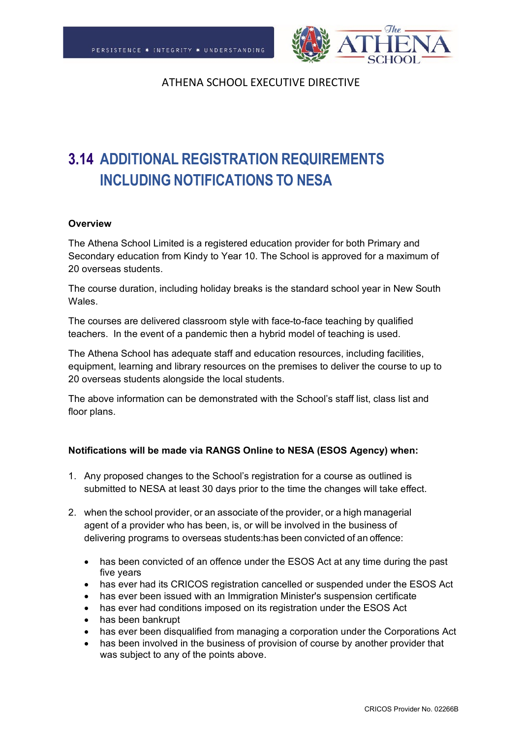

# **3.14 ADDITIONAL REGISTRATION REQUIREMENTS INCLUDING NOTIFICATIONS TO NESA**

### **Overview**

The Athena School Limited is a registered education provider for both Primary and Secondary education from Kindy to Year 10. The School is approved for a maximum of 20 overseas students.

The course duration, including holiday breaks is the standard school year in New South Wales.

The courses are delivered classroom style with face-to-face teaching by qualified teachers. In the event of a pandemic then a hybrid model of teaching is used.

The Athena School has adequate staff and education resources, including facilities, equipment, learning and library resources on the premises to deliver the course to up to 20 overseas students alongside the local students.

The above information can be demonstrated with the School's staff list, class list and floor plans.

### **Notifications will be made via RANGS Online to NESA (ESOS Agency) when:**

- 1. Any proposed changes to the School's registration for a course as outlined is submitted to NESA at least 30 days prior to the time the changes will take effect.
- 2. when the school provider, or an associate of the provider, or a high managerial agent of a provider who has been, is, or will be involved in the business of delivering programs to overseas students:has been convicted of an offence:
	- has been convicted of an offence under the ESOS Act at any time during the past five years
	- has ever had its CRICOS registration cancelled or suspended under the ESOS Act
	- has ever been issued with an Immigration Minister's suspension certificate
	- has ever had conditions imposed on its registration under the ESOS Act
	- has been bankrupt
	- has ever been disqualified from managing a corporation under the Corporations Act
	- has been involved in the business of provision of course by another provider that was subject to any of the points above.